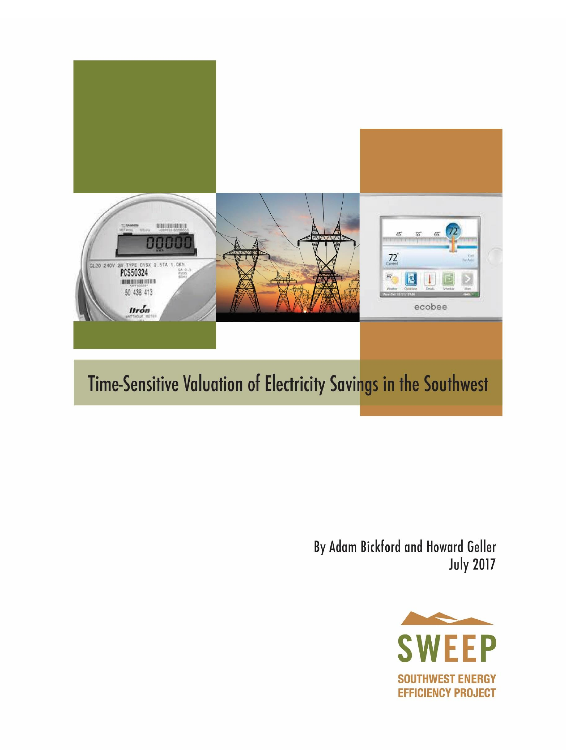

By Adam Bickford and Howard Geller **July 2017** 

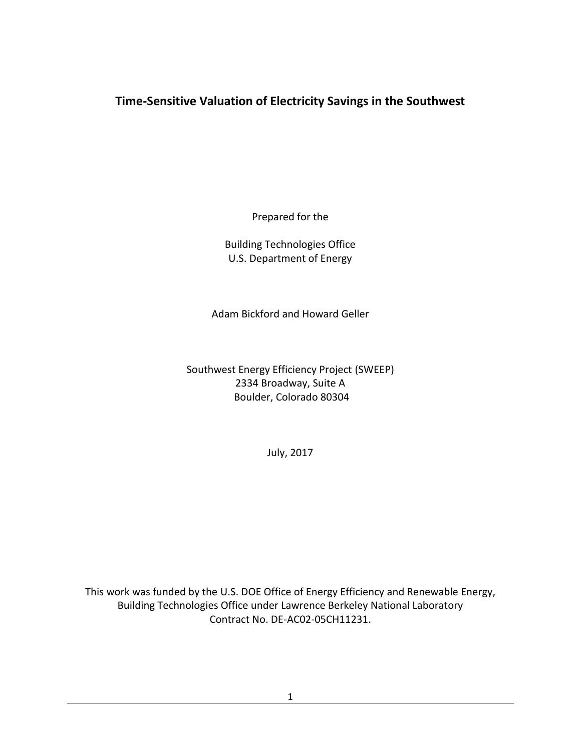# **Time-Sensitive Valuation of Electricity Savings in the Southwest**

Prepared for the

Building Technologies Office U.S. Department of Energy

Adam Bickford and Howard Geller

Southwest Energy Efficiency Project (SWEEP) 2334 Broadway, Suite A Boulder, Colorado 80304

July, 2017

This work was funded by the U.S. DOE Office of Energy Efficiency and Renewable Energy, Building Technologies Office under Lawrence Berkeley National Laboratory Contract No. DE-AC02-05CH11231.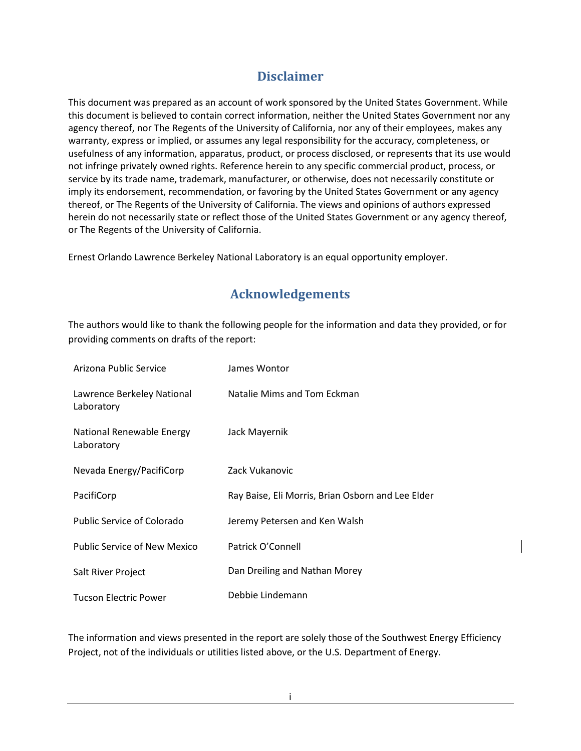# **Disclaimer**

This document was prepared as an account of work sponsored by the United States Government. While this document is believed to contain correct information, neither the United States Government nor any agency thereof, nor The Regents of the University of California, nor any of their employees, makes any warranty, express or implied, or assumes any legal responsibility for the accuracy, completeness, or usefulness of any information, apparatus, product, or process disclosed, or represents that its use would not infringe privately owned rights. Reference herein to any specific commercial product, process, or service by its trade name, trademark, manufacturer, or otherwise, does not necessarily constitute or imply its endorsement, recommendation, or favoring by the United States Government or any agency thereof, or The Regents of the University of California. The views and opinions of authors expressed herein do not necessarily state or reflect those of the United States Government or any agency thereof, or The Regents of the University of California.

Ernest Orlando Lawrence Berkeley National Laboratory is an equal opportunity employer.

# **Acknowledgements**

<span id="page-2-0"></span>The authors would like to thank the following people for the information and data they provided, or for providing comments on drafts of the report:

| Arizona Public Service                   | James Wontor                                      |
|------------------------------------------|---------------------------------------------------|
| Lawrence Berkeley National<br>Laboratory | Natalie Mims and Tom Eckman                       |
| National Renewable Energy<br>Laboratory  | Jack Mayernik                                     |
| Nevada Energy/PacifiCorp                 | Zack Vukanovic                                    |
| PacifiCorp                               | Ray Baise, Eli Morris, Brian Osborn and Lee Elder |
| <b>Public Service of Colorado</b>        | Jeremy Petersen and Ken Walsh                     |
| Public Service of New Mexico             | Patrick O'Connell                                 |
| Salt River Project                       | Dan Dreiling and Nathan Morey                     |
| <b>Tucson Electric Power</b>             | Debbie Lindemann                                  |

The information and views presented in the report are solely those of the Southwest Energy Efficiency Project, not of the individuals or utilities listed above, or the U.S. Department of Energy.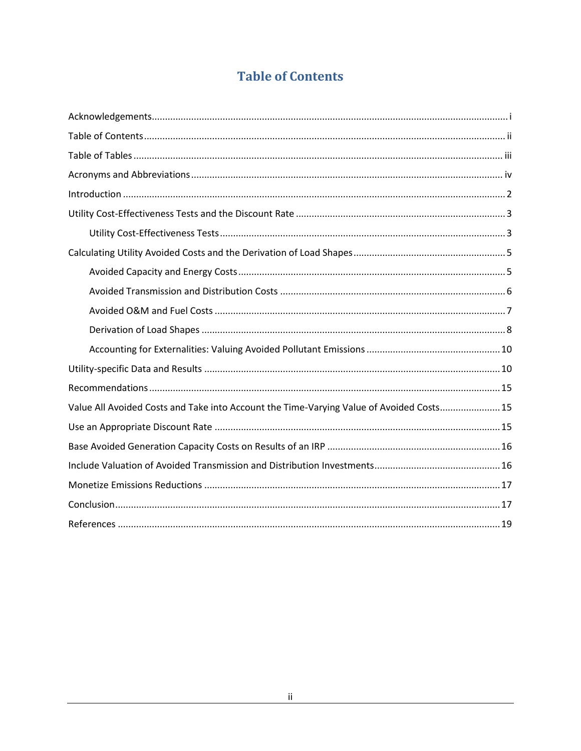# **Table of Contents**

<span id="page-3-0"></span>

| Value All Avoided Costs and Take into Account the Time-Varying Value of Avoided Costs 15 |
|------------------------------------------------------------------------------------------|
|                                                                                          |
|                                                                                          |
|                                                                                          |
|                                                                                          |
|                                                                                          |
|                                                                                          |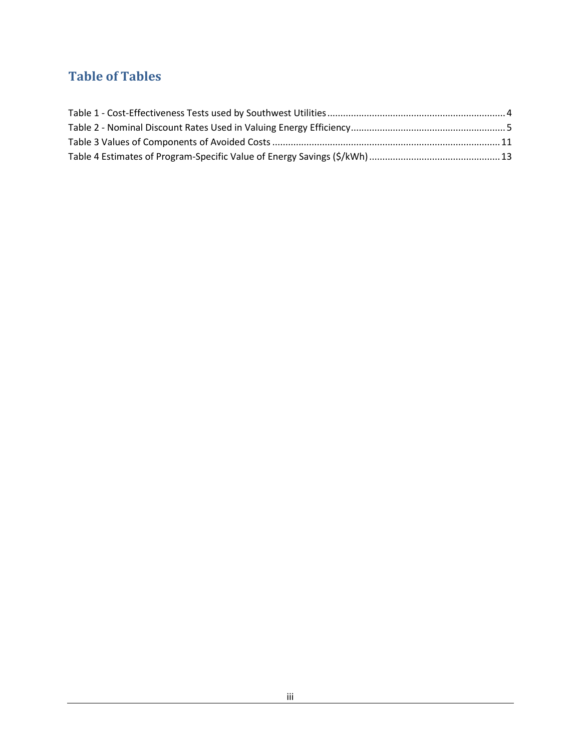# <span id="page-4-0"></span>**Table of Tables**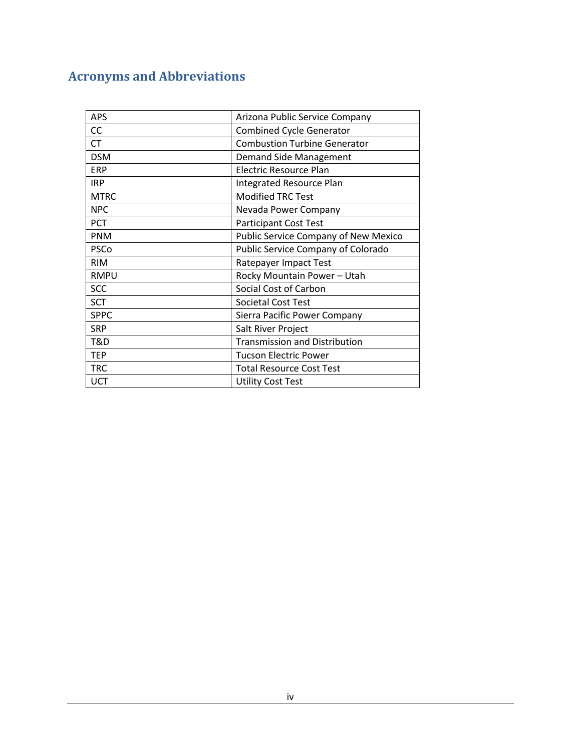# <span id="page-5-0"></span>**Acronyms and Abbreviations**

| <b>APS</b>  | Arizona Public Service Company              |
|-------------|---------------------------------------------|
| CC          | <b>Combined Cycle Generator</b>             |
| <b>CT</b>   | <b>Combustion Turbine Generator</b>         |
| <b>DSM</b>  | <b>Demand Side Management</b>               |
| <b>ERP</b>  | Electric Resource Plan                      |
| <b>IRP</b>  | Integrated Resource Plan                    |
| <b>MTRC</b> | <b>Modified TRC Test</b>                    |
| <b>NPC</b>  | Nevada Power Company                        |
| <b>PCT</b>  | <b>Participant Cost Test</b>                |
| <b>PNM</b>  | <b>Public Service Company of New Mexico</b> |
| PSCo        | Public Service Company of Colorado          |
| <b>RIM</b>  | Ratepayer Impact Test                       |
| <b>RMPU</b> | Rocky Mountain Power - Utah                 |
| <b>SCC</b>  | Social Cost of Carbon                       |
| <b>SCT</b>  | <b>Societal Cost Test</b>                   |
| <b>SPPC</b> | Sierra Pacific Power Company                |
| <b>SRP</b>  | Salt River Project                          |
| T&D         | <b>Transmission and Distribution</b>        |
| <b>TEP</b>  | <b>Tucson Electric Power</b>                |
| <b>TRC</b>  | <b>Total Resource Cost Test</b>             |
| <b>UCT</b>  | <b>Utility Cost Test</b>                    |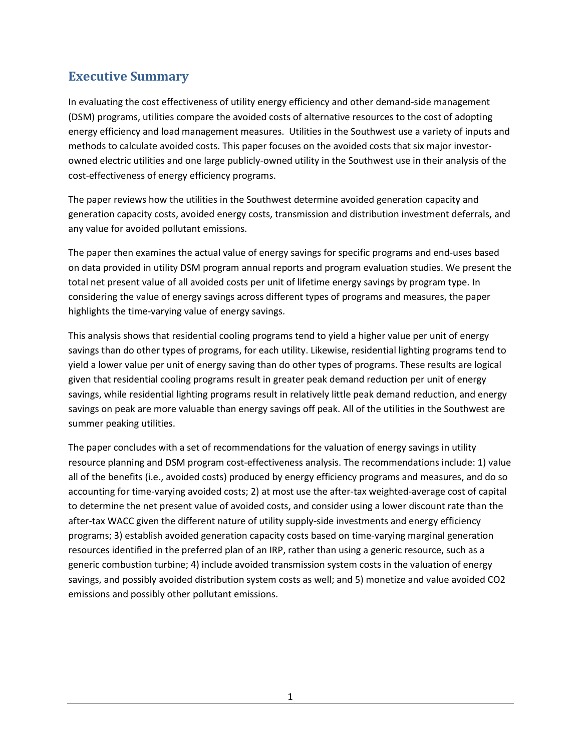# **Executive Summary**

In evaluating the cost effectiveness of utility energy efficiency and other demand-side management (DSM) programs, utilities compare the avoided costs of alternative resources to the cost of adopting energy efficiency and load management measures. Utilities in the Southwest use a variety of inputs and methods to calculate avoided costs. This paper focuses on the avoided costs that six major investorowned electric utilities and one large publicly-owned utility in the Southwest use in their analysis of the cost-effectiveness of energy efficiency programs.

The paper reviews how the utilities in the Southwest determine avoided generation capacity and generation capacity costs, avoided energy costs, transmission and distribution investment deferrals, and any value for avoided pollutant emissions.

The paper then examines the actual value of energy savings for specific programs and end-uses based on data provided in utility DSM program annual reports and program evaluation studies. We present the total net present value of all avoided costs per unit of lifetime energy savings by program type. In considering the value of energy savings across different types of programs and measures, the paper highlights the time-varying value of energy savings.

This analysis shows that residential cooling programs tend to yield a higher value per unit of energy savings than do other types of programs, for each utility. Likewise, residential lighting programs tend to yield a lower value per unit of energy saving than do other types of programs. These results are logical given that residential cooling programs result in greater peak demand reduction per unit of energy savings, while residential lighting programs result in relatively little peak demand reduction, and energy savings on peak are more valuable than energy savings off peak. All of the utilities in the Southwest are summer peaking utilities.

The paper concludes with a set of recommendations for the valuation of energy savings in utility resource planning and DSM program cost-effectiveness analysis. The recommendations include: 1) value all of the benefits (i.e., avoided costs) produced by energy efficiency programs and measures, and do so accounting for time-varying avoided costs; 2) at most use the after-tax weighted-average cost of capital to determine the net present value of avoided costs, and consider using a lower discount rate than the after-tax WACC given the different nature of utility supply-side investments and energy efficiency programs; 3) establish avoided generation capacity costs based on time-varying marginal generation resources identified in the preferred plan of an IRP, rather than using a generic resource, such as a generic combustion turbine; 4) include avoided transmission system costs in the valuation of energy savings, and possibly avoided distribution system costs as well; and 5) monetize and value avoided CO2 emissions and possibly other pollutant emissions.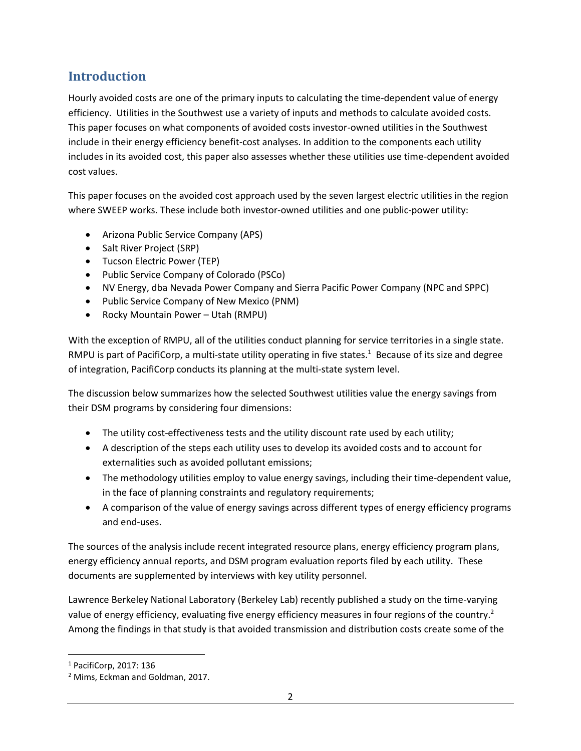# <span id="page-7-0"></span>**Introduction**

Hourly avoided costs are one of the primary inputs to calculating the time-dependent value of energy efficiency. Utilities in the Southwest use a variety of inputs and methods to calculate avoided costs. This paper focuses on what components of avoided costs investor-owned utilities in the Southwest include in their energy efficiency benefit-cost analyses. In addition to the components each utility includes in its avoided cost, this paper also assesses whether these utilities use time-dependent avoided cost values.

This paper focuses on the avoided cost approach used by the seven largest electric utilities in the region where SWEEP works. These include both investor-owned utilities and one public-power utility:

- Arizona Public Service Company (APS)
- Salt River Project (SRP)
- Tucson Electric Power (TEP)
- Public Service Company of Colorado (PSCo)
- NV Energy, dba Nevada Power Company and Sierra Pacific Power Company (NPC and SPPC)
- Public Service Company of New Mexico (PNM)
- Rocky Mountain Power Utah (RMPU)

With the exception of RMPU, all of the utilities conduct planning for service territories in a single state. RMPU is part of PacifiCorp, a multi-state utility operating in five states.<sup>1</sup> Because of its size and degree of integration, PacifiCorp conducts its planning at the multi-state system level.

The discussion below summarizes how the selected Southwest utilities value the energy savings from their DSM programs by considering four dimensions:

- The utility cost-effectiveness tests and the utility discount rate used by each utility;
- A description of the steps each utility uses to develop its avoided costs and to account for externalities such as avoided pollutant emissions;
- The methodology utilities employ to value energy savings, including their time-dependent value, in the face of planning constraints and regulatory requirements;
- A comparison of the value of energy savings across different types of energy efficiency programs and end-uses.

The sources of the analysis include recent integrated resource plans, energy efficiency program plans, energy efficiency annual reports, and DSM program evaluation reports filed by each utility. These documents are supplemented by interviews with key utility personnel.

Lawrence Berkeley National Laboratory (Berkeley Lab) recently published a study on the time-varying value of energy efficiency, evaluating five energy efficiency measures in four regions of the country.<sup>2</sup> Among the findings in that study is that avoided transmission and distribution costs create some of the

 $\overline{\phantom{a}}$ 

<sup>1</sup> PacifiCorp, 2017: 136

<sup>2</sup> Mims, Eckman and Goldman, 2017.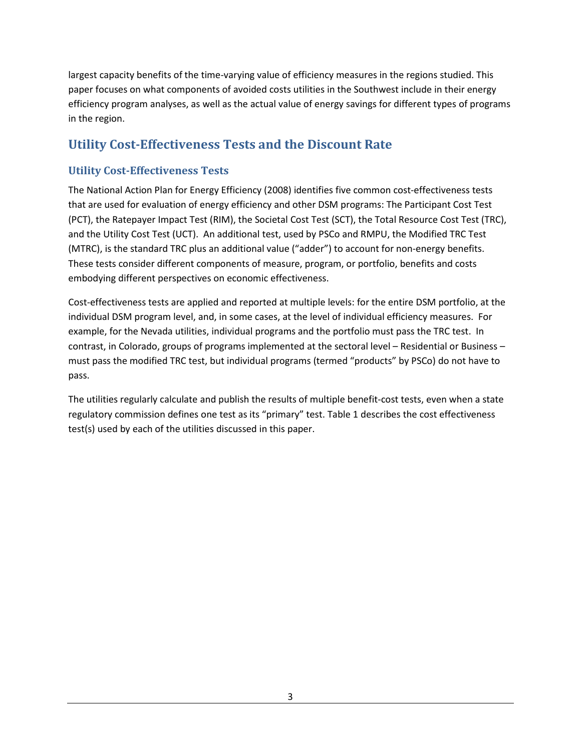largest capacity benefits of the time-varying value of efficiency measures in the regions studied. This paper focuses on what components of avoided costs utilities in the Southwest include in their energy efficiency program analyses, as well as the actual value of energy savings for different types of programs in the region.

# <span id="page-8-0"></span>**Utility Cost-Effectiveness Tests and the Discount Rate**

## <span id="page-8-1"></span>**Utility Cost-Effectiveness Tests**

The National Action Plan for Energy Efficiency (2008) identifies five common cost-effectiveness tests that are used for evaluation of energy efficiency and other DSM programs: The Participant Cost Test (PCT), the Ratepayer Impact Test (RIM), the Societal Cost Test (SCT), the Total Resource Cost Test (TRC), and the Utility Cost Test (UCT). An additional test, used by PSCo and RMPU, the Modified TRC Test (MTRC), is the standard TRC plus an additional value ("adder") to account for non-energy benefits. These tests consider different components of measure, program, or portfolio, benefits and costs embodying different perspectives on economic effectiveness.

Cost-effectiveness tests are applied and reported at multiple levels: for the entire DSM portfolio, at the individual DSM program level, and, in some cases, at the level of individual efficiency measures. For example, for the Nevada utilities, individual programs and the portfolio must pass the TRC test. In contrast, in Colorado, groups of programs implemented at the sectoral level – Residential or Business – must pass the modified TRC test, but individual programs (termed "products" by PSCo) do not have to pass.

<span id="page-8-2"></span>The utilities regularly calculate and publish the results of multiple benefit-cost tests, even when a state regulatory commission defines one test as its "primary" test. Table 1 describes the cost effectiveness test(s) used by each of the utilities discussed in this paper.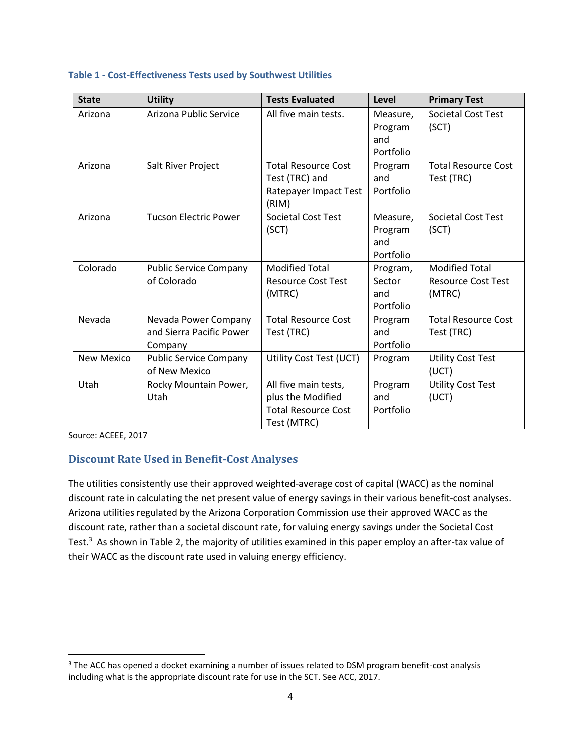#### **Table 1 - Cost-Effectiveness Tests used by Southwest Utilities**

| <b>State</b> | <b>Utility</b>                                              | <b>Tests Evaluated</b>                                                                 | Level                                   | <b>Primary Test</b>                                          |
|--------------|-------------------------------------------------------------|----------------------------------------------------------------------------------------|-----------------------------------------|--------------------------------------------------------------|
| Arizona      | Arizona Public Service                                      | All five main tests.                                                                   | Measure,<br>Program<br>and<br>Portfolio | <b>Societal Cost Test</b><br>(SCT)                           |
| Arizona      | Salt River Project                                          | <b>Total Resource Cost</b><br>Test (TRC) and<br>Ratepayer Impact Test<br>(RIM)         | Program<br>and<br>Portfolio             | <b>Total Resource Cost</b><br>Test (TRC)                     |
| Arizona      | <b>Tucson Electric Power</b>                                | <b>Societal Cost Test</b><br>(SCT)                                                     | Measure,<br>Program<br>and<br>Portfolio | <b>Societal Cost Test</b><br>(SCT)                           |
| Colorado     | <b>Public Service Company</b><br>of Colorado                | <b>Modified Total</b><br><b>Resource Cost Test</b><br>(MTRC)                           | Program,<br>Sector<br>and<br>Portfolio  | <b>Modified Total</b><br><b>Resource Cost Test</b><br>(MTRC) |
| Nevada       | Nevada Power Company<br>and Sierra Pacific Power<br>Company | <b>Total Resource Cost</b><br>Test (TRC)                                               | Program<br>and<br>Portfolio             | <b>Total Resource Cost</b><br>Test (TRC)                     |
| New Mexico   | <b>Public Service Company</b><br>of New Mexico              | Utility Cost Test (UCT)                                                                | Program                                 | <b>Utility Cost Test</b><br>(UCT)                            |
| Utah         | Rocky Mountain Power,<br>Utah                               | All five main tests,<br>plus the Modified<br><b>Total Resource Cost</b><br>Test (MTRC) | Program<br>and<br>Portfolio             | <b>Utility Cost Test</b><br>(UCT)                            |

Source: ACEEE, 2017

<span id="page-9-0"></span> $\overline{\phantom{a}}$ 

### **Discount Rate Used in Benefit-Cost Analyses**

The utilities consistently use their approved weighted-average cost of capital (WACC) as the nominal discount rate in calculating the net present value of energy savings in their various benefit-cost analyses. Arizona utilities regulated by the Arizona Corporation Commission use their approved WACC as the discount rate, rather than a societal discount rate, for valuing energy savings under the Societal Cost Test.<sup>3</sup> As shown in Table 2, the majority of utilities examined in this paper employ an after-tax value of their WACC as the discount rate used in valuing energy efficiency.

 $3$  The ACC has opened a docket examining a number of issues related to DSM program benefit-cost analysis including what is the appropriate discount rate for use in the SCT. See ACC, 2017.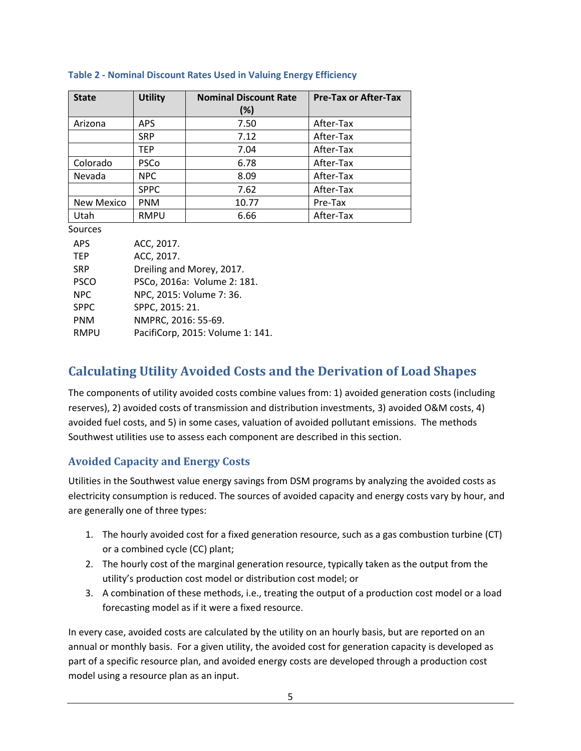| <b>State</b>      | <b>Utility</b> | <b>Nominal Discount Rate</b><br>$(\%)$ | <b>Pre-Tax or After-Tax</b> |
|-------------------|----------------|----------------------------------------|-----------------------------|
| Arizona           | APS.           | 7.50                                   | After-Tax                   |
|                   | <b>SRP</b>     | 7.12                                   | After-Tax                   |
|                   | <b>TEP</b>     | 7.04                                   | After-Tax                   |
| Colorado          | <b>PSCo</b>    | 6.78                                   | After-Tax                   |
| Nevada            | <b>NPC</b>     | 8.09                                   | After-Tax                   |
|                   | <b>SPPC</b>    | 7.62                                   | After-Tax                   |
| <b>New Mexico</b> | <b>PNM</b>     | 10.77                                  | Pre-Tax                     |
| Utah              | <b>RMPU</b>    | 6.66                                   | After-Tax                   |

#### **Table 2 - Nominal Discount Rates Used in Valuing Energy Efficiency**

Sources

| <b>APS</b>  | ACC, 2017.                       |
|-------------|----------------------------------|
| <b>TEP</b>  | ACC, 2017.                       |
| <b>SRP</b>  | Dreiling and Morey, 2017.        |
| <b>PSCO</b> | PSCo, 2016a: Volume 2: 181.      |
| <b>NPC</b>  | NPC, 2015: Volume 7: 36.         |
| <b>SPPC</b> | SPPC, 2015: 21.                  |
| <b>PNM</b>  | NMPRC, 2016: 55-69.              |
| <b>RMPU</b> | PacifiCorp, 2015: Volume 1: 141. |

# <span id="page-10-0"></span>**Calculating Utility Avoided Costs and the Derivation of Load Shapes**

The components of utility avoided costs combine values from: 1) avoided generation costs (including reserves), 2) avoided costs of transmission and distribution investments, 3) avoided O&M costs, 4) avoided fuel costs, and 5) in some cases, valuation of avoided pollutant emissions. The methods Southwest utilities use to assess each component are described in this section.

### <span id="page-10-1"></span>**Avoided Capacity and Energy Costs**

Utilities in the Southwest value energy savings from DSM programs by analyzing the avoided costs as electricity consumption is reduced. The sources of avoided capacity and energy costs vary by hour, and are generally one of three types:

- 1. The hourly avoided cost for a fixed generation resource, such as a gas combustion turbine (CT) or a combined cycle (CC) plant;
- 2. The hourly cost of the marginal generation resource, typically taken as the output from the utility's production cost model or distribution cost model; or
- 3. A combination of these methods, i.e., treating the output of a production cost model or a load forecasting model as if it were a fixed resource.

In every case, avoided costs are calculated by the utility on an hourly basis, but are reported on an annual or monthly basis. For a given utility, the avoided cost for generation capacity is developed as part of a specific resource plan, and avoided energy costs are developed through a production cost model using a resource plan as an input.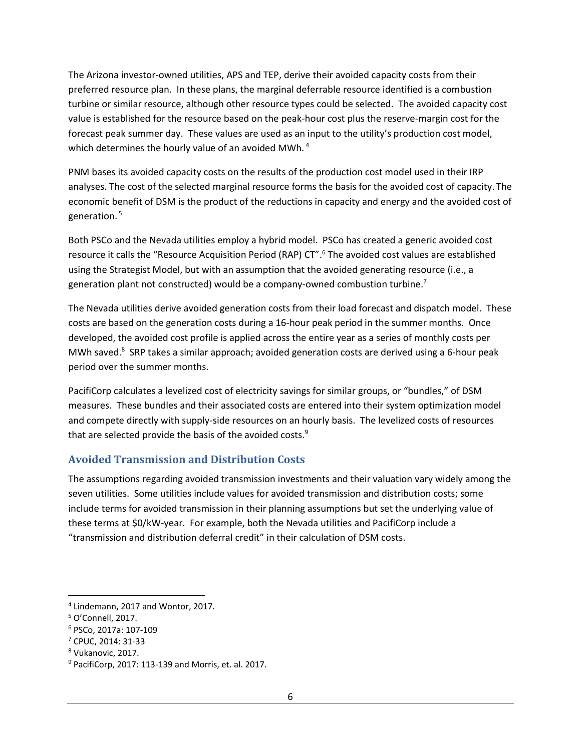The Arizona investor-owned utilities, APS and TEP, derive their avoided capacity costs from their preferred resource plan. In these plans, the marginal deferrable resource identified is a combustion turbine or similar resource, although other resource types could be selected. The avoided capacity cost value is established for the resource based on the peak-hour cost plus the reserve-margin cost for the forecast peak summer day. These values are used as an input to the utility's production cost model, which determines the hourly value of an avoided MWh.<sup>4</sup>

PNM bases its avoided capacity costs on the results of the production cost model used in their IRP analyses. The cost of the selected marginal resource forms the basis for the avoided cost of capacity. The economic benefit of DSM is the product of the reductions in capacity and energy and the avoided cost of generation. <sup>5</sup>

Both PSCo and the Nevada utilities employ a hybrid model. PSCo has created a generic avoided cost resource it calls the "Resource Acquisition Period (RAP) CT".<sup>6</sup> The avoided cost values are established using the Strategist Model, but with an assumption that the avoided generating resource (i.e., a generation plant not constructed) would be a company-owned combustion turbine.<sup>7</sup>

The Nevada utilities derive avoided generation costs from their load forecast and dispatch model. These costs are based on the generation costs during a 16-hour peak period in the summer months. Once developed, the avoided cost profile is applied across the entire year as a series of monthly costs per MWh saved.<sup>8</sup> SRP takes a similar approach; avoided generation costs are derived using a 6-hour peak period over the summer months.

PacifiCorp calculates a levelized cost of electricity savings for similar groups, or "bundles," of DSM measures. These bundles and their associated costs are entered into their system optimization model and compete directly with supply-side resources on an hourly basis. The levelized costs of resources that are selected provide the basis of the avoided costs.<sup>9</sup>

### <span id="page-11-0"></span>**Avoided Transmission and Distribution Costs**

The assumptions regarding avoided transmission investments and their valuation vary widely among the seven utilities. Some utilities include values for avoided transmission and distribution costs; some include terms for avoided transmission in their planning assumptions but set the underlying value of these terms at \$0/kW-year. For example, both the Nevada utilities and PacifiCorp include a "transmission and distribution deferral credit" in their calculation of DSM costs.

 $\overline{\phantom{a}}$ 

<sup>4</sup> Lindemann, 2017 and Wontor, 2017.

<sup>5</sup> O'Connell, 2017.

<sup>6</sup> PSCo, 2017a: 107-109

<sup>7</sup> CPUC, 2014: 31-33

<sup>8</sup> Vukanovic, 2017.

<sup>9</sup> PacifiCorp, 2017: 113-139 and Morris, et. al. 2017.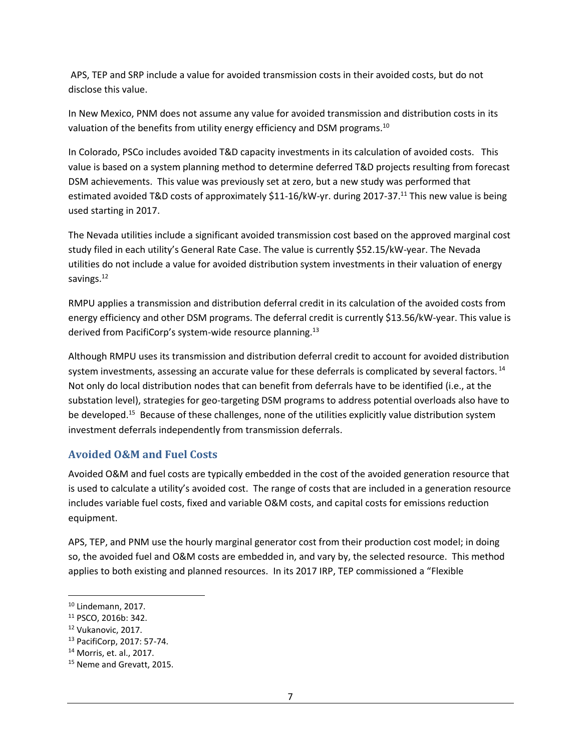APS, TEP and SRP include a value for avoided transmission costs in their avoided costs, but do not disclose this value.

In New Mexico, PNM does not assume any value for avoided transmission and distribution costs in its valuation of the benefits from utility energy efficiency and DSM programs.<sup>10</sup>

In Colorado, PSCo includes avoided T&D capacity investments in its calculation of avoided costs. This value is based on a system planning method to determine deferred T&D projects resulting from forecast DSM achievements. This value was previously set at zero, but a new study was performed that estimated avoided T&D costs of approximately \$11-16/kW-yr. during 2017-37.<sup>11</sup> This new value is being used starting in 2017.

The Nevada utilities include a significant avoided transmission cost based on the approved marginal cost study filed in each utility's General Rate Case. The value is currently \$52.15/kW-year. The Nevada utilities do not include a value for avoided distribution system investments in their valuation of energy savings.<sup>12</sup>

RMPU applies a transmission and distribution deferral credit in its calculation of the avoided costs from energy efficiency and other DSM programs. The deferral credit is currently \$13.56/kW-year. This value is derived from PacifiCorp's system-wide resource planning.<sup>13</sup>

Although RMPU uses its transmission and distribution deferral credit to account for avoided distribution system investments, assessing an accurate value for these deferrals is complicated by several factors.  $^{14}$ Not only do local distribution nodes that can benefit from deferrals have to be identified (i.e., at the substation level), strategies for geo-targeting DSM programs to address potential overloads also have to be developed.<sup>15</sup> Because of these challenges, none of the utilities explicitly value distribution system investment deferrals independently from transmission deferrals.

#### <span id="page-12-0"></span>**Avoided O&M and Fuel Costs**

Avoided O&M and fuel costs are typically embedded in the cost of the avoided generation resource that is used to calculate a utility's avoided cost. The range of costs that are included in a generation resource includes variable fuel costs, fixed and variable O&M costs, and capital costs for emissions reduction equipment.

APS, TEP, and PNM use the hourly marginal generator cost from their production cost model; in doing so, the avoided fuel and O&M costs are embedded in, and vary by, the selected resource. This method applies to both existing and planned resources. In its 2017 IRP, TEP commissioned a "Flexible

 $\overline{\phantom{a}}$  $10$  Lindemann, 2017.

<sup>11</sup> PSCO, 2016b: 342.

<sup>12</sup> Vukanovic, 2017.

<sup>13</sup> PacifiCorp, 2017: 57-74.

<sup>14</sup> Morris, et. al., 2017.

<sup>&</sup>lt;sup>15</sup> Neme and Grevatt, 2015.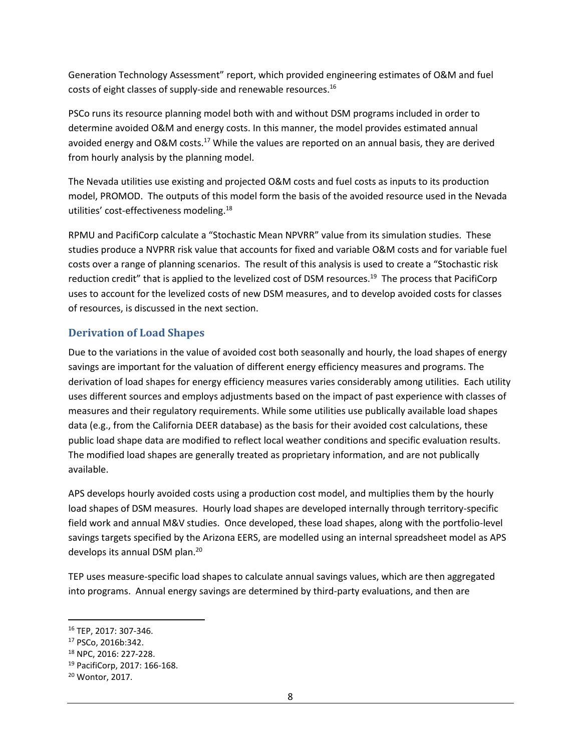Generation Technology Assessment" report, which provided engineering estimates of O&M and fuel costs of eight classes of supply-side and renewable resources.<sup>16</sup>

PSCo runs its resource planning model both with and without DSM programs included in order to determine avoided O&M and energy costs. In this manner, the model provides estimated annual avoided energy and O&M costs.<sup>17</sup> While the values are reported on an annual basis, they are derived from hourly analysis by the planning model.

The Nevada utilities use existing and projected O&M costs and fuel costs as inputs to its production model, PROMOD. The outputs of this model form the basis of the avoided resource used in the Nevada utilities' cost-effectiveness modeling.<sup>18</sup>

RPMU and PacifiCorp calculate a "Stochastic Mean NPVRR" value from its simulation studies. These studies produce a NVPRR risk value that accounts for fixed and variable O&M costs and for variable fuel costs over a range of planning scenarios. The result of this analysis is used to create a "Stochastic risk reduction credit" that is applied to the levelized cost of DSM resources.<sup>19</sup> The process that PacifiCorp uses to account for the levelized costs of new DSM measures, and to develop avoided costs for classes of resources, is discussed in the next section.

### <span id="page-13-0"></span>**Derivation of Load Shapes**

Due to the variations in the value of avoided cost both seasonally and hourly, the load shapes of energy savings are important for the valuation of different energy efficiency measures and programs. The derivation of load shapes for energy efficiency measures varies considerably among utilities. Each utility uses different sources and employs adjustments based on the impact of past experience with classes of measures and their regulatory requirements. While some utilities use publically available load shapes data (e.g., from the California DEER database) as the basis for their avoided cost calculations, these public load shape data are modified to reflect local weather conditions and specific evaluation results. The modified load shapes are generally treated as proprietary information, and are not publically available.

APS develops hourly avoided costs using a production cost model, and multiplies them by the hourly load shapes of DSM measures. Hourly load shapes are developed internally through territory-specific field work and annual M&V studies. Once developed, these load shapes, along with the portfolio-level savings targets specified by the Arizona EERS, are modelled using an internal spreadsheet model as APS develops its annual DSM plan.<sup>20</sup>

TEP uses measure-specific load shapes to calculate annual savings values, which are then aggregated into programs. Annual energy savings are determined by third-party evaluations, and then are

 $\overline{\phantom{a}}$ 

<sup>16</sup> TEP, 2017: 307-346.

<sup>17</sup> PSCo, 2016b:342.

<sup>18</sup> NPC, 2016: 227-228.

<sup>19</sup> PacifiCorp, 2017: 166-168.

<sup>20</sup> Wontor, 2017.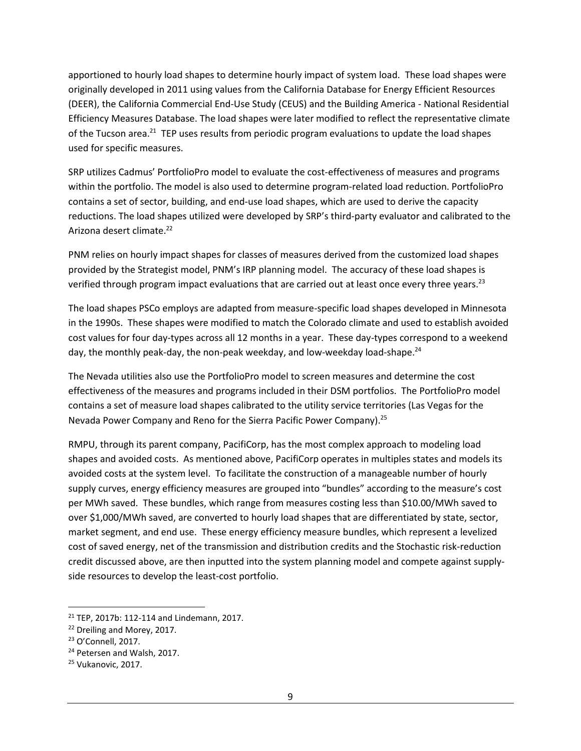apportioned to hourly load shapes to determine hourly impact of system load. These load shapes were originally developed in 2011 using values from the California Database for Energy Efficient Resources (DEER), the California Commercial End-Use Study (CEUS) and the Building America - National Residential Efficiency Measures Database. The load shapes were later modified to reflect the representative climate of the Tucson area.<sup>21</sup> TEP uses results from periodic program evaluations to update the load shapes used for specific measures.

SRP utilizes Cadmus' PortfolioPro model to evaluate the cost-effectiveness of measures and programs within the portfolio. The model is also used to determine program-related load reduction. PortfolioPro contains a set of sector, building, and end-use load shapes, which are used to derive the capacity reductions. The load shapes utilized were developed by SRP's third-party evaluator and calibrated to the Arizona desert climate.<sup>22</sup>

PNM relies on hourly impact shapes for classes of measures derived from the customized load shapes provided by the Strategist model, PNM's IRP planning model. The accuracy of these load shapes is verified through program impact evaluations that are carried out at least once every three years.<sup>23</sup>

The load shapes PSCo employs are adapted from measure-specific load shapes developed in Minnesota in the 1990s. These shapes were modified to match the Colorado climate and used to establish avoided cost values for four day-types across all 12 months in a year. These day-types correspond to a weekend day, the monthly peak-day, the non-peak weekday, and low-weekday load-shape.<sup>24</sup>

The Nevada utilities also use the PortfolioPro model to screen measures and determine the cost effectiveness of the measures and programs included in their DSM portfolios. The PortfolioPro model contains a set of measure load shapes calibrated to the utility service territories (Las Vegas for the Nevada Power Company and Reno for the Sierra Pacific Power Company).<sup>25</sup>

RMPU, through its parent company, PacifiCorp, has the most complex approach to modeling load shapes and avoided costs. As mentioned above, PacifiCorp operates in multiples states and models its avoided costs at the system level. To facilitate the construction of a manageable number of hourly supply curves, energy efficiency measures are grouped into "bundles" according to the measure's cost per MWh saved. These bundles, which range from measures costing less than \$10.00/MWh saved to over \$1,000/MWh saved, are converted to hourly load shapes that are differentiated by state, sector, market segment, and end use. These energy efficiency measure bundles, which represent a levelized cost of saved energy, net of the transmission and distribution credits and the Stochastic risk-reduction credit discussed above, are then inputted into the system planning model and compete against supplyside resources to develop the least-cost portfolio.

 $\overline{\phantom{a}}$ 

<sup>21</sup> TEP, 2017b: 112-114 and Lindemann, 2017.

<sup>22</sup> Dreiling and Morey, 2017.

<sup>23</sup> O'Connell, 2017.

<sup>&</sup>lt;sup>24</sup> Petersen and Walsh, 2017.

<sup>25</sup> Vukanovic, 2017.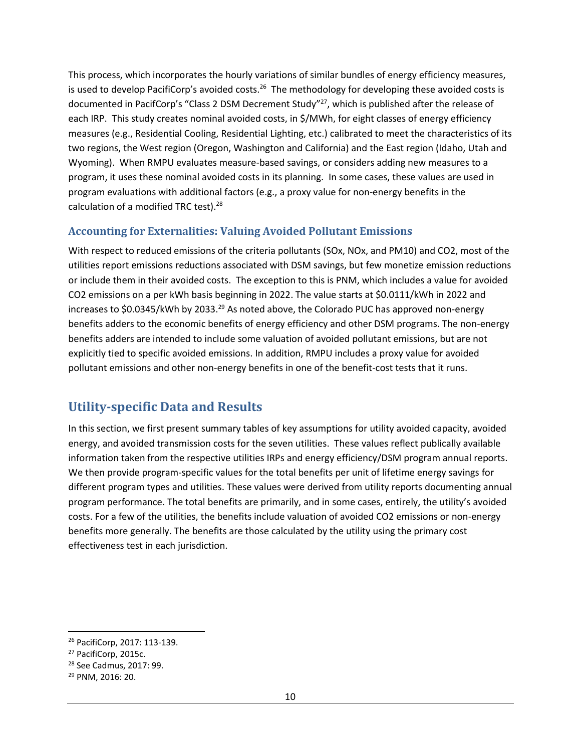This process, which incorporates the hourly variations of similar bundles of energy efficiency measures, is used to develop PacifiCorp's avoided costs.<sup>26</sup> The methodology for developing these avoided costs is documented in PacifCorp's "Class 2 DSM Decrement Study"<sup>27</sup>, which is published after the release of each IRP. This study creates nominal avoided costs, in \$/MWh, for eight classes of energy efficiency measures (e.g., Residential Cooling, Residential Lighting, etc.) calibrated to meet the characteristics of its two regions, the West region (Oregon, Washington and California) and the East region (Idaho, Utah and Wyoming). When RMPU evaluates measure-based savings, or considers adding new measures to a program, it uses these nominal avoided costs in its planning. In some cases, these values are used in program evaluations with additional factors (e.g., a proxy value for non-energy benefits in the calculation of a modified TRC test).<sup>28</sup>

### <span id="page-15-0"></span>**Accounting for Externalities: Valuing Avoided Pollutant Emissions**

With respect to reduced emissions of the criteria pollutants (SOx, NOx, and PM10) and CO2, most of the utilities report emissions reductions associated with DSM savings, but few monetize emission reductions or include them in their avoided costs. The exception to this is PNM, which includes a value for avoided CO2 emissions on a per kWh basis beginning in 2022. The value starts at \$0.0111/kWh in 2022 and increases to \$0.0345/kWh by 2033.<sup>29</sup> As noted above, the Colorado PUC has approved non-energy benefits adders to the economic benefits of energy efficiency and other DSM programs. The non-energy benefits adders are intended to include some valuation of avoided pollutant emissions, but are not explicitly tied to specific avoided emissions. In addition, RMPU includes a proxy value for avoided pollutant emissions and other non-energy benefits in one of the benefit-cost tests that it runs.

# <span id="page-15-1"></span>**Utility-specific Data and Results**

In this section, we first present summary tables of key assumptions for utility avoided capacity, avoided energy, and avoided transmission costs for the seven utilities. These values reflect publically available information taken from the respective utilities IRPs and energy efficiency/DSM program annual reports. We then provide program-specific values for the total benefits per unit of lifetime energy savings for different program types and utilities. These values were derived from utility reports documenting annual program performance. The total benefits are primarily, and in some cases, entirely, the utility's avoided costs. For a few of the utilities, the benefits include valuation of avoided CO2 emissions or non-energy benefits more generally. The benefits are those calculated by the utility using the primary cost effectiveness test in each jurisdiction.

<span id="page-15-2"></span>l

<sup>26</sup> PacifiCorp, 2017: 113-139.

<sup>27</sup> PacifiCorp, 2015c.

<sup>28</sup> See Cadmus, 2017: 99.

<sup>29</sup> PNM, 2016: 20.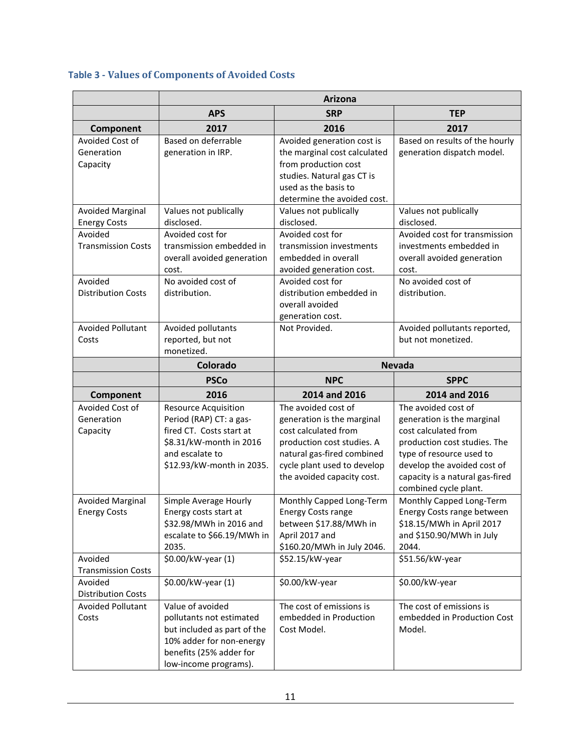## **Table 3 - Values of Components of Avoided Costs**

|                                                           | Arizona                                                                                                                                                       |                                                                                                                                                                                                    |                                                                                                                                                                                                                                  |  |  |  |
|-----------------------------------------------------------|---------------------------------------------------------------------------------------------------------------------------------------------------------------|----------------------------------------------------------------------------------------------------------------------------------------------------------------------------------------------------|----------------------------------------------------------------------------------------------------------------------------------------------------------------------------------------------------------------------------------|--|--|--|
|                                                           | <b>APS</b><br><b>SRP</b><br><b>TEP</b>                                                                                                                        |                                                                                                                                                                                                    |                                                                                                                                                                                                                                  |  |  |  |
| Component                                                 | 2017                                                                                                                                                          | 2016                                                                                                                                                                                               | 2017                                                                                                                                                                                                                             |  |  |  |
| Avoided Cost of<br>Generation<br>Capacity                 | Based on deferrable<br>generation in IRP.                                                                                                                     | Avoided generation cost is<br>the marginal cost calculated<br>from production cost<br>studies. Natural gas CT is<br>used as the basis to<br>determine the avoided cost.                            | Based on results of the hourly<br>generation dispatch model.                                                                                                                                                                     |  |  |  |
| <b>Avoided Marginal</b><br><b>Energy Costs</b>            | Values not publically<br>disclosed.                                                                                                                           | Values not publically<br>disclosed.                                                                                                                                                                | Values not publically<br>disclosed.                                                                                                                                                                                              |  |  |  |
| Avoided<br><b>Transmission Costs</b>                      | Avoided cost for<br>transmission embedded in<br>overall avoided generation<br>cost.                                                                           | Avoided cost for<br>transmission investments<br>embedded in overall<br>avoided generation cost.                                                                                                    | Avoided cost for transmission<br>investments embedded in<br>overall avoided generation<br>cost.                                                                                                                                  |  |  |  |
| Avoided<br><b>Distribution Costs</b>                      | No avoided cost of<br>distribution.                                                                                                                           | Avoided cost for<br>distribution embedded in<br>overall avoided<br>generation cost.                                                                                                                | No avoided cost of<br>distribution.                                                                                                                                                                                              |  |  |  |
| <b>Avoided Pollutant</b><br>Costs                         | Avoided pollutants<br>reported, but not<br>monetized.                                                                                                         | Not Provided.                                                                                                                                                                                      | Avoided pollutants reported,<br>but not monetized.                                                                                                                                                                               |  |  |  |
|                                                           | <b>Colorado</b>                                                                                                                                               | <b>Nevada</b>                                                                                                                                                                                      |                                                                                                                                                                                                                                  |  |  |  |
|                                                           | <b>PSCo</b>                                                                                                                                                   | <b>NPC</b>                                                                                                                                                                                         | <b>SPPC</b>                                                                                                                                                                                                                      |  |  |  |
| Component                                                 | 2016                                                                                                                                                          | 2014 and 2016                                                                                                                                                                                      | 2014 and 2016                                                                                                                                                                                                                    |  |  |  |
| Avoided Cost of<br>Generation<br>Capacity                 | <b>Resource Acquisition</b><br>Period (RAP) CT: a gas-<br>fired CT. Costs start at<br>\$8.31/kW-month in 2016<br>and escalate to<br>\$12.93/kW-month in 2035. | The avoided cost of<br>generation is the marginal<br>cost calculated from<br>production cost studies. A<br>natural gas-fired combined<br>cycle plant used to develop<br>the avoided capacity cost. | The avoided cost of<br>generation is the marginal<br>cost calculated from<br>production cost studies. The<br>type of resource used to<br>develop the avoided cost of<br>capacity is a natural gas-fired<br>combined cycle plant. |  |  |  |
| <b>Avoided Marginal</b><br><b>Energy Costs</b><br>Avoided | Simple Average Hourly<br>Energy costs start at<br>\$32.98/MWh in 2016 and<br>escalate to \$66.19/MWh in<br>2035.<br>\$0.00/kW-year (1)                        | Monthly Capped Long-Term<br><b>Energy Costs range</b><br>between \$17.88/MWh in<br>April 2017 and<br>\$160.20/MWh in July 2046.                                                                    | Monthly Capped Long-Term<br>Energy Costs range between<br>\$18.15/MWh in April 2017<br>and \$150.90/MWh in July<br>2044.<br>\$51.56/kW-year                                                                                      |  |  |  |
| <b>Transmission Costs</b>                                 |                                                                                                                                                               | \$52.15/kW-year                                                                                                                                                                                    |                                                                                                                                                                                                                                  |  |  |  |
| Avoided<br><b>Distribution Costs</b>                      | \$0.00/kW-year (1)                                                                                                                                            | \$0.00/kW-year                                                                                                                                                                                     | \$0.00/kW-year                                                                                                                                                                                                                   |  |  |  |
| <b>Avoided Pollutant</b><br>Costs                         | Value of avoided<br>pollutants not estimated<br>but included as part of the<br>10% adder for non-energy<br>benefits (25% adder for<br>low-income programs).   | The cost of emissions is<br>embedded in Production<br>Cost Model.                                                                                                                                  | The cost of emissions is<br>embedded in Production Cost<br>Model.                                                                                                                                                                |  |  |  |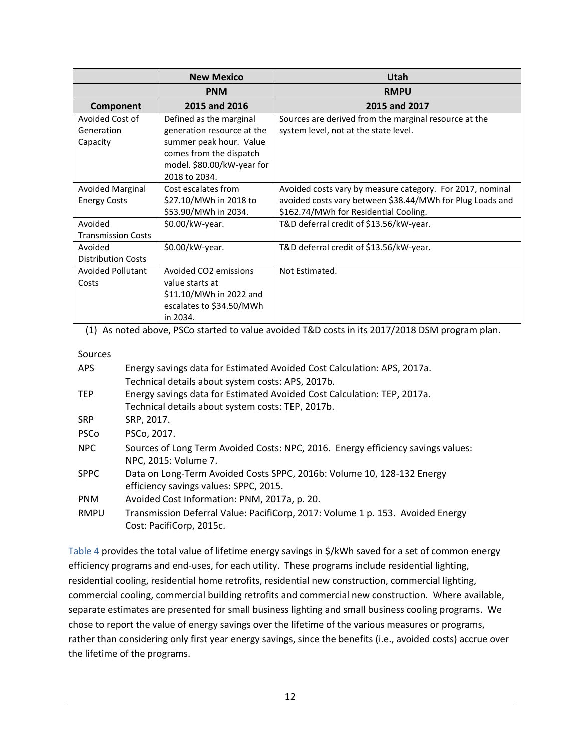|                           | <b>New Mexico</b>          | Utah                                                      |
|---------------------------|----------------------------|-----------------------------------------------------------|
|                           | <b>PNM</b>                 | <b>RMPU</b>                                               |
| Component                 | 2015 and 2016              | 2015 and 2017                                             |
| Avoided Cost of           | Defined as the marginal    | Sources are derived from the marginal resource at the     |
| Generation                | generation resource at the | system level, not at the state level.                     |
| Capacity                  | summer peak hour. Value    |                                                           |
|                           | comes from the dispatch    |                                                           |
|                           | model. \$80.00/kW-year for |                                                           |
|                           | 2018 to 2034.              |                                                           |
| Avoided Marginal          | Cost escalates from        | Avoided costs vary by measure category. For 2017, nominal |
| <b>Energy Costs</b>       | \$27.10/MWh in 2018 to     | avoided costs vary between \$38.44/MWh for Plug Loads and |
|                           | \$53.90/MWh in 2034.       | \$162.74/MWh for Residential Cooling.                     |
| Avoided                   | \$0.00/kW-year.            | T&D deferral credit of \$13.56/kW-year.                   |
| <b>Transmission Costs</b> |                            |                                                           |
| Avoided                   | $$0.00/kW-year$ .          | T&D deferral credit of \$13.56/kW-year.                   |
| <b>Distribution Costs</b> |                            |                                                           |
| <b>Avoided Pollutant</b>  | Avoided CO2 emissions      | Not Estimated.                                            |
| Costs                     | value starts at            |                                                           |
|                           | \$11.10/MWh in 2022 and    |                                                           |
|                           | escalates to \$34.50/MWh   |                                                           |
|                           | in 2034.                   |                                                           |

(1) As noted above, PSCo started to value avoided T&D costs in its 2017/2018 DSM program plan.

Sources

| <b>APS</b>  | Energy savings data for Estimated Avoided Cost Calculation: APS, 2017a.<br>Technical details about system costs: APS, 2017b. |
|-------------|------------------------------------------------------------------------------------------------------------------------------|
| <b>TEP</b>  | Energy savings data for Estimated Avoided Cost Calculation: TEP, 2017a.<br>Technical details about system costs: TEP, 2017b. |
| <b>SRP</b>  | SRP, 2017.                                                                                                                   |
| <b>PSCo</b> | PSCo, 2017.                                                                                                                  |
| <b>NPC</b>  | Sources of Long Term Avoided Costs: NPC, 2016. Energy efficiency savings values:<br>NPC, 2015: Volume 7.                     |
| <b>SPPC</b> | Data on Long-Term Avoided Costs SPPC, 2016b: Volume 10, 128-132 Energy<br>efficiency savings values: SPPC, 2015.             |
| <b>PNM</b>  | Avoided Cost Information: PNM, 2017a, p. 20.                                                                                 |
| <b>RMPU</b> | Transmission Deferral Value: PacifiCorp, 2017: Volume 1 p. 153. Avoided Energy<br>Cost: PacifiCorp, 2015c.                   |

[Table 4](#page-18-0) provides the total value of lifetime energy savings in \$/kWh saved for a set of common energy efficiency programs and end-uses, for each utility. These programs include residential lighting, residential cooling, residential home retrofits, residential new construction, commercial lighting, commercial cooling, commercial building retrofits and commercial new construction. Where available, separate estimates are presented for small business lighting and small business cooling programs. We chose to report the value of energy savings over the lifetime of the various measures or programs, rather than considering only first year energy savings, since the benefits (i.e., avoided costs) accrue over the lifetime of the programs.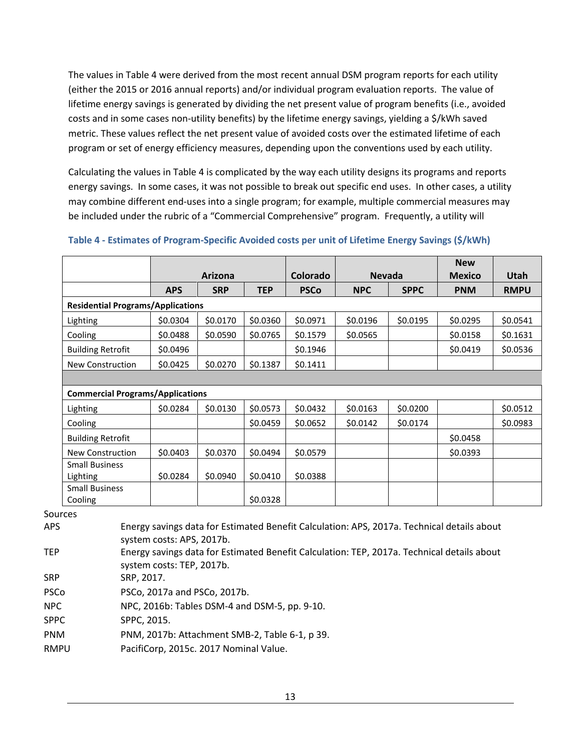The values in Table 4 were derived from the most recent annual DSM program reports for each utility (either the 2015 or 2016 annual reports) and/or individual program evaluation reports. The value of lifetime energy savings is generated by dividing the net present value of program benefits (i.e., avoided costs and in some cases non-utility benefits) by the lifetime energy savings, yielding a \$/kWh saved metric. These values reflect the net present value of avoided costs over the estimated lifetime of each program or set of energy efficiency measures, depending upon the conventions used by each utility.

Calculating the values in Table 4 is complicated by the way each utility designs its programs and reports energy savings. In some cases, it was not possible to break out specific end uses. In other cases, a utility may combine different end-uses into a single program; for example, multiple commercial measures may be included under the rubric of a "Commercial Comprehensive" program. Frequently, a utility will

|                                                                                            |            |                                                                                                                                    |             |            |             | <b>New</b>    | Utah                                                                                                        |
|--------------------------------------------------------------------------------------------|------------|------------------------------------------------------------------------------------------------------------------------------------|-------------|------------|-------------|---------------|-------------------------------------------------------------------------------------------------------------|
| <b>APS</b>                                                                                 | <b>SRP</b> | <b>TEP</b>                                                                                                                         | <b>PSCo</b> | <b>NPC</b> | <b>SPPC</b> | <b>PNM</b>    | <b>RMPU</b>                                                                                                 |
|                                                                                            |            |                                                                                                                                    |             |            |             |               |                                                                                                             |
| \$0.0304                                                                                   | \$0.0170   | \$0.0360                                                                                                                           | \$0.0971    | \$0.0196   | \$0.0195    | \$0.0295      | \$0.0541                                                                                                    |
| \$0.0488                                                                                   | \$0.0590   | \$0.0765                                                                                                                           | \$0.1579    | \$0.0565   |             | \$0.0158      | \$0.1631                                                                                                    |
| \$0.0496                                                                                   |            |                                                                                                                                    | \$0.1946    |            |             | \$0.0419      | \$0.0536                                                                                                    |
| \$0.0425                                                                                   | \$0.0270   | \$0.1387                                                                                                                           | \$0.1411    |            |             |               |                                                                                                             |
|                                                                                            |            |                                                                                                                                    |             |            |             |               |                                                                                                             |
|                                                                                            |            |                                                                                                                                    |             |            |             |               |                                                                                                             |
| \$0.0284                                                                                   | \$0.0130   | \$0.0573                                                                                                                           | \$0.0432    | \$0.0163   | \$0.0200    |               | \$0.0512                                                                                                    |
|                                                                                            |            | \$0.0459                                                                                                                           | \$0.0652    | \$0.0142   | \$0.0174    |               | \$0.0983                                                                                                    |
|                                                                                            |            |                                                                                                                                    |             |            |             | \$0.0458      |                                                                                                             |
| \$0.0403                                                                                   | \$0.0370   | \$0.0494                                                                                                                           | \$0.0579    |            |             | \$0.0393      |                                                                                                             |
| \$0.0284                                                                                   | \$0.0940   | \$0.0410                                                                                                                           | \$0.0388    |            |             |               |                                                                                                             |
|                                                                                            |            | \$0.0328                                                                                                                           |             |            |             |               |                                                                                                             |
|                                                                                            |            |                                                                                                                                    |             |            |             |               |                                                                                                             |
| Energy savings data for Estimated Benefit Calculation: TEP, 2017a. Technical details about |            |                                                                                                                                    |             |            |             |               |                                                                                                             |
|                                                                                            |            | <b>Arizona</b><br><b>Residential Programs/Applications</b><br><b>Commercial Programs/Applications</b><br>system costs: APS, 2017b. |             | Colorado   |             | <b>Nevada</b> | <b>Mexico</b><br>Energy savings data for Estimated Benefit Calculation: APS, 2017a. Technical details about |

#### <span id="page-18-0"></span>**Table 4 - Estimates of Program-Specific Avoided costs per unit of Lifetime Energy Savings (\$/kWh)**

| ۱PS | Energy savings data for Estimated Benefit Calculation: APS, 2017a. Technical details abo |
|-----|------------------------------------------------------------------------------------------|
|     | system costs: APS, 2017b.                                                                |
| FED | Energy cavings data for Estimated Renefit Calculation: TED 2017a, Technical details abs  |

system costs: TEP, 2017b.

SRP SRP, 2017.

| PSCo | PSCo, 2017a and PSCo, 2017b. |
|------|------------------------------|
|      |                              |

NPC NPC, 2016b: Tables DSM-4 and DSM-5, pp. 9-10.

- SPPC SPPC, 2015.
- PNM PNM, 2017b: Attachment SMB-2, Table 6-1, p 39.
- RMPU PacifiCorp, 2015c. 2017 Nominal Value.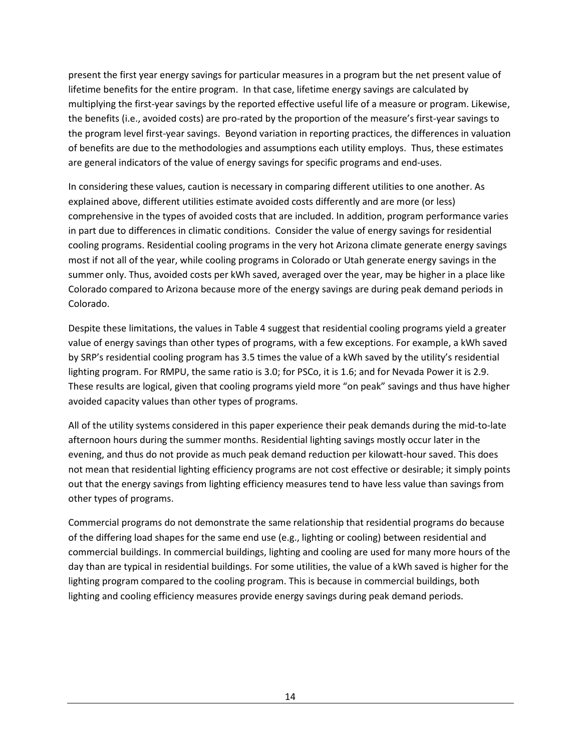present the first year energy savings for particular measures in a program but the net present value of lifetime benefits for the entire program. In that case, lifetime energy savings are calculated by multiplying the first-year savings by the reported effective useful life of a measure or program. Likewise, the benefits (i.e., avoided costs) are pro-rated by the proportion of the measure's first-year savings to the program level first-year savings. Beyond variation in reporting practices, the differences in valuation of benefits are due to the methodologies and assumptions each utility employs. Thus, these estimates are general indicators of the value of energy savings for specific programs and end-uses.

In considering these values, caution is necessary in comparing different utilities to one another. As explained above, different utilities estimate avoided costs differently and are more (or less) comprehensive in the types of avoided costs that are included. In addition, program performance varies in part due to differences in climatic conditions. Consider the value of energy savings for residential cooling programs. Residential cooling programs in the very hot Arizona climate generate energy savings most if not all of the year, while cooling programs in Colorado or Utah generate energy savings in the summer only. Thus, avoided costs per kWh saved, averaged over the year, may be higher in a place like Colorado compared to Arizona because more of the energy savings are during peak demand periods in Colorado.

Despite these limitations, the values in Table 4 suggest that residential cooling programs yield a greater value of energy savings than other types of programs, with a few exceptions. For example, a kWh saved by SRP's residential cooling program has 3.5 times the value of a kWh saved by the utility's residential lighting program. For RMPU, the same ratio is 3.0; for PSCo, it is 1.6; and for Nevada Power it is 2.9. These results are logical, given that cooling programs yield more "on peak" savings and thus have higher avoided capacity values than other types of programs.

All of the utility systems considered in this paper experience their peak demands during the mid-to-late afternoon hours during the summer months. Residential lighting savings mostly occur later in the evening, and thus do not provide as much peak demand reduction per kilowatt-hour saved. This does not mean that residential lighting efficiency programs are not cost effective or desirable; it simply points out that the energy savings from lighting efficiency measures tend to have less value than savings from other types of programs.

Commercial programs do not demonstrate the same relationship that residential programs do because of the differing load shapes for the same end use (e.g., lighting or cooling) between residential and commercial buildings. In commercial buildings, lighting and cooling are used for many more hours of the day than are typical in residential buildings. For some utilities, the value of a kWh saved is higher for the lighting program compared to the cooling program. This is because in commercial buildings, both lighting and cooling efficiency measures provide energy savings during peak demand periods.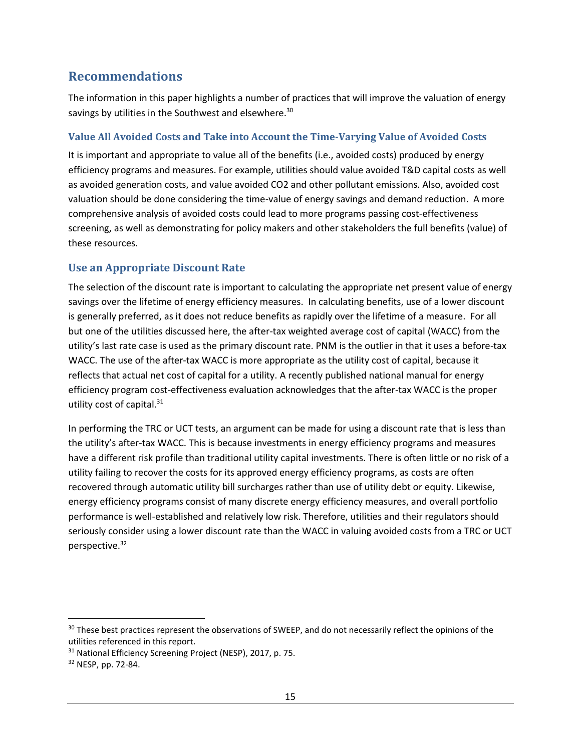# <span id="page-20-0"></span>**Recommendations**

The information in this paper highlights a number of practices that will improve the valuation of energy savings by utilities in the Southwest and elsewhere. $^{30}$ 

#### <span id="page-20-1"></span>**Value All Avoided Costs and Take into Account the Time-Varying Value of Avoided Costs**

It is important and appropriate to value all of the benefits (i.e., avoided costs) produced by energy efficiency programs and measures. For example, utilities should value avoided T&D capital costs as well as avoided generation costs, and value avoided CO2 and other pollutant emissions. Also, avoided cost valuation should be done considering the time-value of energy savings and demand reduction. A more comprehensive analysis of avoided costs could lead to more programs passing cost-effectiveness screening, as well as demonstrating for policy makers and other stakeholders the full benefits (value) of these resources.

### <span id="page-20-2"></span>**Use an Appropriate Discount Rate**

The selection of the discount rate is important to calculating the appropriate net present value of energy savings over the lifetime of energy efficiency measures. In calculating benefits, use of a lower discount is generally preferred, as it does not reduce benefits as rapidly over the lifetime of a measure. For all but one of the utilities discussed here, the after-tax weighted average cost of capital (WACC) from the utility's last rate case is used as the primary discount rate. PNM is the outlier in that it uses a before-tax WACC. The use of the after-tax WACC is more appropriate as the utility cost of capital, because it reflects that actual net cost of capital for a utility. A recently published national manual for energy efficiency program cost-effectiveness evaluation acknowledges that the after-tax WACC is the proper utility cost of capital. $31$ 

In performing the TRC or UCT tests, an argument can be made for using a discount rate that is less than the utility's after-tax WACC. This is because investments in energy efficiency programs and measures have a different risk profile than traditional utility capital investments. There is often little or no risk of a utility failing to recover the costs for its approved energy efficiency programs, as costs are often recovered through automatic utility bill surcharges rather than use of utility debt or equity. Likewise, energy efficiency programs consist of many discrete energy efficiency measures, and overall portfolio performance is well-established and relatively low risk. Therefore, utilities and their regulators should seriously consider using a lower discount rate than the WACC in valuing avoided costs from a TRC or UCT perspective.<sup>32</sup>

 $\overline{\phantom{a}}$ 

<sup>&</sup>lt;sup>30</sup> These best practices represent the observations of SWEEP, and do not necessarily reflect the opinions of the utilities referenced in this report.

<sup>&</sup>lt;sup>31</sup> National Efficiency Screening Project (NESP), 2017, p. 75.

<sup>32</sup> NESP, pp. 72-84.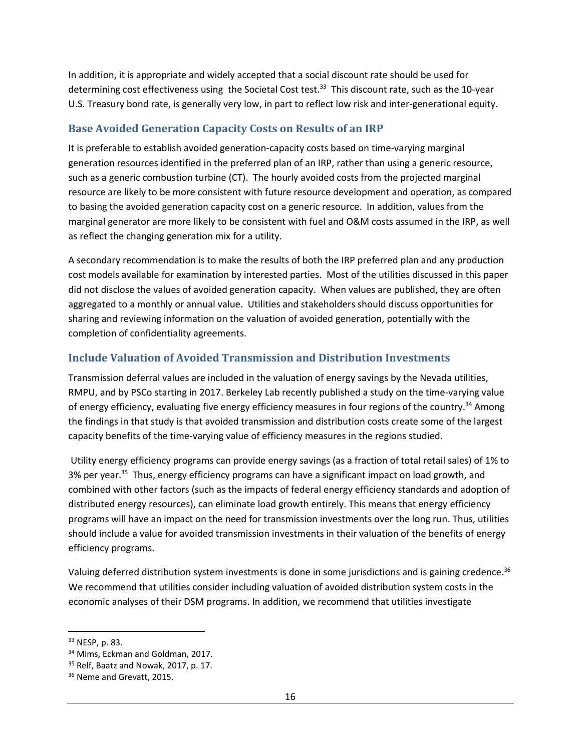In addition, it is appropriate and widely accepted that a social discount rate should be used for determining cost effectiveness using the Societal Cost test.<sup>33</sup> This discount rate, such as the 10-year U.S. Treasury bond rate, is generally very low, in part to reflect low risk and inter-generational equity.

### <span id="page-21-0"></span>**Base Avoided Generation Capacity Costs on Results of an IRP**

It is preferable to establish avoided generation-capacity costs based on time-varying marginal generation resources identified in the preferred plan of an IRP, rather than using a generic resource, such as a generic combustion turbine (CT). The hourly avoided costs from the projected marginal resource are likely to be more consistent with future resource development and operation, as compared to basing the avoided generation capacity cost on a generic resource. In addition, values from the marginal generator are more likely to be consistent with fuel and O&M costs assumed in the IRP, as well as reflect the changing generation mix for a utility.

A secondary recommendation is to make the results of both the IRP preferred plan and any production cost models available for examination by interested parties. Most of the utilities discussed in this paper did not disclose the values of avoided generation capacity. When values are published, they are often aggregated to a monthly or annual value. Utilities and stakeholders should discuss opportunities for sharing and reviewing information on the valuation of avoided generation, potentially with the completion of confidentiality agreements.

## <span id="page-21-1"></span>**Include Valuation of Avoided Transmission and Distribution Investments**

Transmission deferral values are included in the valuation of energy savings by the Nevada utilities, RMPU, and by PSCo starting in 2017. Berkeley Lab recently published a study on the time-varying value of energy efficiency, evaluating five energy efficiency measures in four regions of the country.<sup>34</sup> Among the findings in that study is that avoided transmission and distribution costs create some of the largest capacity benefits of the time-varying value of efficiency measures in the regions studied.

Utility energy efficiency programs can provide energy savings (as a fraction of total retail sales) of 1% to 3% per year.<sup>35</sup> Thus, energy efficiency programs can have a significant impact on load growth, and combined with other factors (such as the impacts of federal energy efficiency standards and adoption of distributed energy resources), can eliminate load growth entirely. This means that energy efficiency programs will have an impact on the need for transmission investments over the long run. Thus, utilities should include a value for avoided transmission investments in their valuation of the benefits of energy efficiency programs.

Valuing deferred distribution system investments is done in some jurisdictions and is gaining credence.<sup>36</sup> We recommend that utilities consider including valuation of avoided distribution system costs in the economic analyses of their DSM programs. In addition, we recommend that utilities investigate

l

<sup>33</sup> NESP, p. 83.

<sup>&</sup>lt;sup>34</sup> Mims, Eckman and Goldman, 2017.

 $35$  Relf, Baatz and Nowak, 2017, p. 17.

<sup>&</sup>lt;sup>36</sup> Neme and Grevatt, 2015.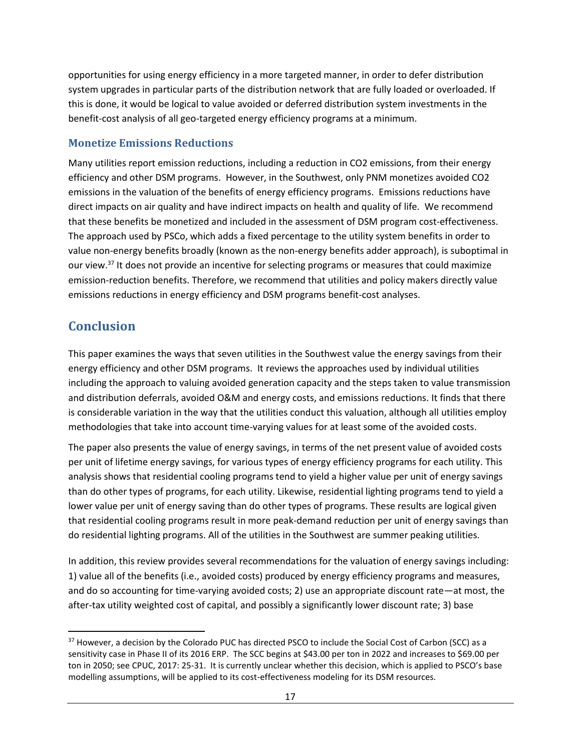opportunities for using energy efficiency in a more targeted manner, in order to defer distribution system upgrades in particular parts of the distribution network that are fully loaded or overloaded. If this is done, it would be logical to value avoided or deferred distribution system investments in the benefit-cost analysis of all geo-targeted energy efficiency programs at a minimum.

### <span id="page-22-0"></span>**Monetize Emissions Reductions**

Many utilities report emission reductions, including a reduction in CO2 emissions, from their energy efficiency and other DSM programs. However, in the Southwest, only PNM monetizes avoided CO2 emissions in the valuation of the benefits of energy efficiency programs. Emissions reductions have direct impacts on air quality and have indirect impacts on health and quality of life. We recommend that these benefits be monetized and included in the assessment of DSM program cost-effectiveness. The approach used by PSCo, which adds a fixed percentage to the utility system benefits in order to value non-energy benefits broadly (known as the non-energy benefits adder approach), is suboptimal in our view.<sup>37</sup> It does not provide an incentive for selecting programs or measures that could maximize emission-reduction benefits. Therefore, we recommend that utilities and policy makers directly value emissions reductions in energy efficiency and DSM programs benefit-cost analyses.

# <span id="page-22-1"></span>**Conclusion**

l

This paper examines the ways that seven utilities in the Southwest value the energy savings from their energy efficiency and other DSM programs. It reviews the approaches used by individual utilities including the approach to valuing avoided generation capacity and the steps taken to value transmission and distribution deferrals, avoided O&M and energy costs, and emissions reductions. It finds that there is considerable variation in the way that the utilities conduct this valuation, although all utilities employ methodologies that take into account time-varying values for at least some of the avoided costs.

The paper also presents the value of energy savings, in terms of the net present value of avoided costs per unit of lifetime energy savings, for various types of energy efficiency programs for each utility. This analysis shows that residential cooling programs tend to yield a higher value per unit of energy savings than do other types of programs, for each utility. Likewise, residential lighting programs tend to yield a lower value per unit of energy saving than do other types of programs. These results are logical given that residential cooling programs result in more peak-demand reduction per unit of energy savings than do residential lighting programs. All of the utilities in the Southwest are summer peaking utilities.

In addition, this review provides several recommendations for the valuation of energy savings including: 1) value all of the benefits (i.e., avoided costs) produced by energy efficiency programs and measures, and do so accounting for time-varying avoided costs; 2) use an appropriate discount rate—at most, the after-tax utility weighted cost of capital, and possibly a significantly lower discount rate; 3) base

<sup>&</sup>lt;sup>37</sup> However, a decision by the Colorado PUC has directed PSCO to include the Social Cost of Carbon (SCC) as a sensitivity case in Phase II of its 2016 ERP. The SCC begins at \$43.00 per ton in 2022 and increases to \$69.00 per ton in 2050; see CPUC, 2017: 25-31. It is currently unclear whether this decision, which is applied to PSCO's base modelling assumptions, will be applied to its cost-effectiveness modeling for its DSM resources.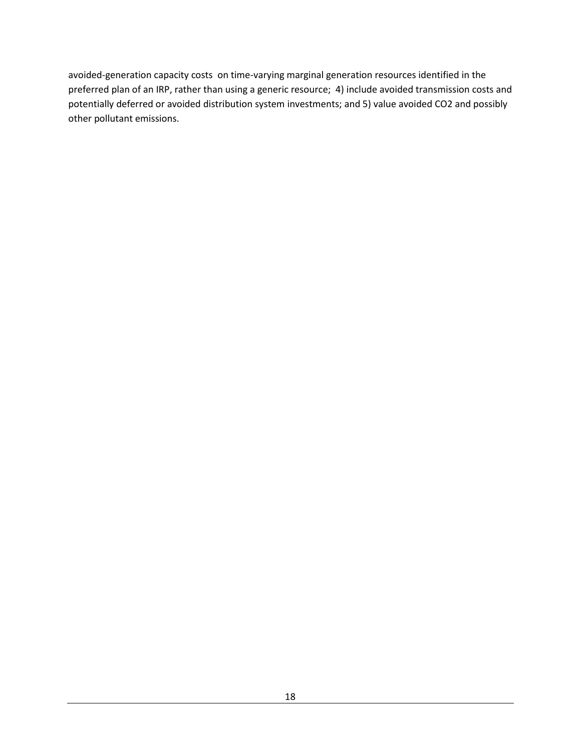avoided-generation capacity costs on time-varying marginal generation resources identified in the preferred plan of an IRP, rather than using a generic resource; 4) include avoided transmission costs and potentially deferred or avoided distribution system investments; and 5) value avoided CO2 and possibly other pollutant emissions.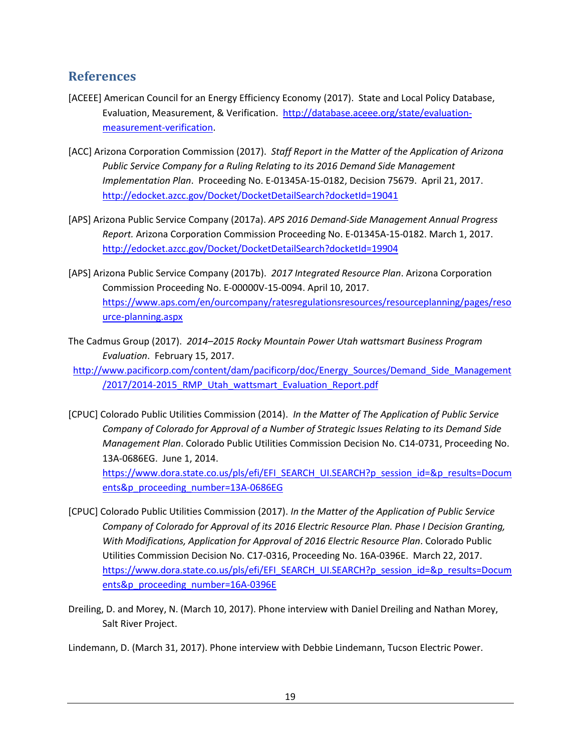## <span id="page-24-0"></span>**References**

- [ACEEE] American Council for an Energy Efficiency Economy (2017). State and Local Policy Database, Evaluation, Measurement, & Verification. [http://database.aceee.org/state/evaluation](http://database.aceee.org/state/evaluation-measurement-verification)[measurement-verification.](http://database.aceee.org/state/evaluation-measurement-verification)
- [ACC] Arizona Corporation Commission (2017). *Staff Report in the Matter of the Application of Arizona Public Service Company for a Ruling Relating to its 2016 Demand Side Management Implementation Plan*. Proceeding No. E-01345A-15-0182, Decision 75679. April 21, 2017. <http://edocket.azcc.gov/Docket/DocketDetailSearch?docketId=19041>
- [APS] Arizona Public Service Company (2017a). *APS 2016 Demand-Side Management Annual Progress Report.* Arizona Corporation Commission Proceeding No. E-01345A-15-0182. March 1, 2017. <http://edocket.azcc.gov/Docket/DocketDetailSearch?docketId=19904>
- [APS] Arizona Public Service Company (2017b). *2017 Integrated Resource Plan*. Arizona Corporation Commission Proceeding No. E-00000V-15-0094. April 10, 2017. [https://www.aps.com/en/ourcompany/ratesregulationsresources/resourceplanning/pages/reso](https://www.aps.com/en/ourcompany/ratesregulationsresources/resourceplanning/pages/resource-planning.aspx) [urce-planning.aspx](https://www.aps.com/en/ourcompany/ratesregulationsresources/resourceplanning/pages/resource-planning.aspx)
- The Cadmus Group (2017). *2014–2015 Rocky Mountain Power Utah wattsmart Business Program Evaluation*. February 15, 2017.
- [http://www.pacificorp.com/content/dam/pacificorp/doc/Energy\\_Sources/Demand\\_Side\\_Management](http://www.pacificorp.com/content/dam/pacificorp/doc/Energy_Sources/Demand_Side_Management/2017/2014-2015_RMP_Utah_wattsmart_Evaluation_Report.pdf) [/2017/2014-2015\\_RMP\\_Utah\\_wattsmart\\_Evaluation\\_Report.pdf](http://www.pacificorp.com/content/dam/pacificorp/doc/Energy_Sources/Demand_Side_Management/2017/2014-2015_RMP_Utah_wattsmart_Evaluation_Report.pdf)
- [CPUC] Colorado Public Utilities Commission (2014). *In the Matter of The Application of Public Service Company of Colorado for Approval of a Number of Strategic Issues Relating to its Demand Side Management Plan*. Colorado Public Utilities Commission Decision No. C14-0731, Proceeding No. 13A-0686EG. June 1, 2014. [https://www.dora.state.co.us/pls/efi/EFI\\_SEARCH\\_UI.SEARCH?p\\_session\\_id=&p\\_results=Docum](https://www.dora.state.co.us/pls/efi/EFI_SEARCH_UI.SEARCH?p_session_id=&p_results=Documents&p_proceeding_number=13A-0686EG)

[ents&p\\_proceeding\\_number=13A-0686EG](https://www.dora.state.co.us/pls/efi/EFI_SEARCH_UI.SEARCH?p_session_id=&p_results=Documents&p_proceeding_number=13A-0686EG)

- [CPUC] Colorado Public Utilities Commission (2017). *In the Matter of the Application of Public Service Company of Colorado for Approval of its 2016 Electric Resource Plan. Phase I Decision Granting, With Modifications, Application for Approval of 2016 Electric Resource Plan*. Colorado Public Utilities Commission Decision No. C17-0316, Proceeding No. 16A-0396E. March 22, 2017. [https://www.dora.state.co.us/pls/efi/EFI\\_SEARCH\\_UI.SEARCH?p\\_session\\_id=&p\\_results=Docum](https://www.dora.state.co.us/pls/efi/EFI_SEARCH_UI.SEARCH?p_session_id=&p_results=Documents&p_proceeding_number=16A-0396E) [ents&p\\_proceeding\\_number=16A-0396E](https://www.dora.state.co.us/pls/efi/EFI_SEARCH_UI.SEARCH?p_session_id=&p_results=Documents&p_proceeding_number=16A-0396E)
- Dreiling, D. and Morey, N. (March 10, 2017). Phone interview with Daniel Dreiling and Nathan Morey, Salt River Project.

Lindemann, D. (March 31, 2017). Phone interview with Debbie Lindemann, Tucson Electric Power.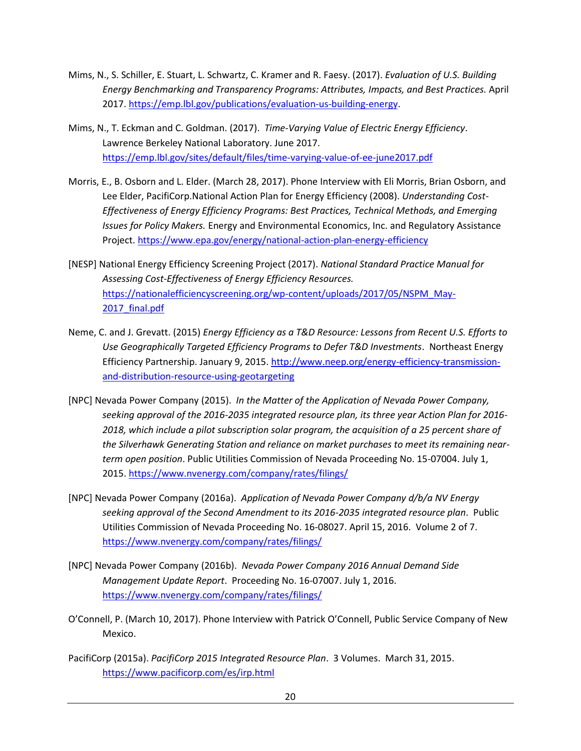- Mims, N., S. Schiller, E. Stuart, L. Schwartz, C. Kramer and R. Faesy. (2017). *Evaluation of U.S. Building Energy Benchmarking and Transparency Programs: Attributes, Impacts, and Best Practices.* April 2017. [https://emp.lbl.gov/publications/evaluation-us-building-energy.](https://emp.lbl.gov/publications/evaluation-us-building-energy)
- Mims, N., T. Eckman and C. Goldman. (2017). *Time-Varying Value of Electric Energy Efficiency*. Lawrence Berkeley National Laboratory. June 2017. <https://emp.lbl.gov/sites/default/files/time-varying-value-of-ee-june2017.pdf>
- Morris, E., B. Osborn and L. Elder. (March 28, 2017). Phone Interview with Eli Morris, Brian Osborn, and Lee Elder, PacifiCorp.National Action Plan for Energy Efficiency (2008). *Understanding Cost-Effectiveness of Energy Efficiency Programs: Best Practices, Technical Methods, and Emerging Issues for Policy Makers.* Energy and Environmental Economics, Inc. and Regulatory Assistance Project. <https://www.epa.gov/energy/national-action-plan-energy-efficiency>
- [NESP] National Energy Efficiency Screening Project (2017). *National Standard Practice Manual for Assessing Cost-Effectiveness of Energy Efficiency Resources.* [https://nationalefficiencyscreening.org/wp-content/uploads/2017/05/NSPM\\_May-](https://nationalefficiencyscreening.org/wp-content/uploads/2017/05/NSPM_May-2017_final.pdf)2017 final.pdf
- Neme, C. and J. Grevatt. (2015) *Energy Efficiency as a T&D Resource: Lessons from Recent U.S. Efforts to Use Geographically Targeted Efficiency Programs to Defer T&D Investments*. Northeast Energy Efficiency Partnership. January 9, 2015. [http://www.neep.org/energy-efficiency-transmission](http://www.neep.org/energy-efficiency-transmission-and-distribution-resource-using-geotargeting)[and-distribution-resource-using-geotargeting](http://www.neep.org/energy-efficiency-transmission-and-distribution-resource-using-geotargeting)
- [NPC] Nevada Power Company (2015). *In the Matter of the Application of Nevada Power Company, seeking approval of the 2016-2035 integrated resource plan, its three year Action Plan for 2016-* 2018, which include a pilot subscription solar program, the acquisition of a 25 percent share of *the Silverhawk Generating Station and reliance on market purchases to meet its remaining nearterm open position*. Public Utilities Commission of Nevada Proceeding No. 15-07004. July 1, 2015. <https://www.nvenergy.com/company/rates/filings/>
- [NPC] Nevada Power Company (2016a). *Application of Nevada Power Company d/b/a NV Energy seeking approval of the Second Amendment to its 2016-2035 integrated resource plan*. Public Utilities Commission of Nevada Proceeding No. 16-08027. April 15, 2016. Volume 2 of 7. <https://www.nvenergy.com/company/rates/filings/>
- [NPC] Nevada Power Company (2016b). *Nevada Power Company 2016 Annual Demand Side Management Update Report*. Proceeding No. 16-07007. July 1, 2016. <https://www.nvenergy.com/company/rates/filings/>
- O'Connell, P. (March 10, 2017). Phone Interview with Patrick O'Connell, Public Service Company of New Mexico.
- PacifiCorp (2015a). *PacifiCorp 2015 Integrated Resource Plan*. 3 Volumes. March 31, 2015. <https://www.pacificorp.com/es/irp.html>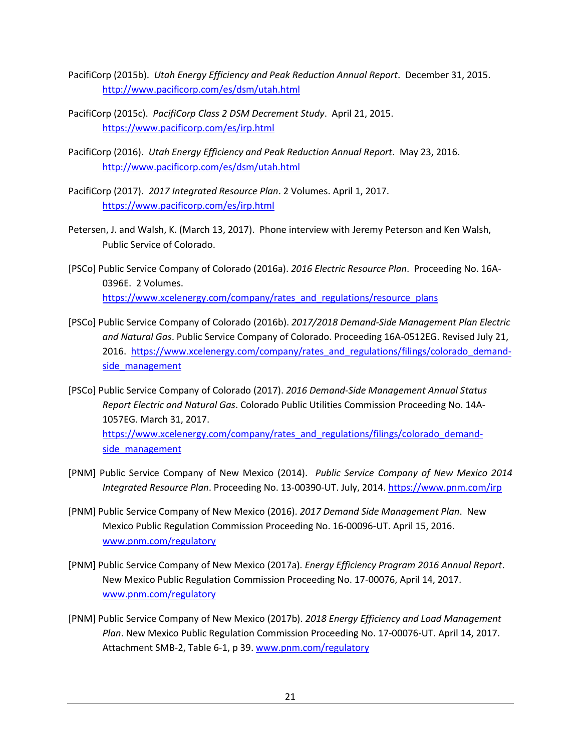- PacifiCorp (2015b). *Utah Energy Efficiency and Peak Reduction Annual Report*. December 31, 2015. <http://www.pacificorp.com/es/dsm/utah.html>
- PacifiCorp (2015c). *PacifiCorp Class 2 DSM Decrement Study*. April 21, 2015. <https://www.pacificorp.com/es/irp.html>
- PacifiCorp (2016). *Utah Energy Efficiency and Peak Reduction Annual Report*. May 23, 2016. <http://www.pacificorp.com/es/dsm/utah.html>
- PacifiCorp (2017). *2017 Integrated Resource Plan*. 2 Volumes. April 1, 2017. <https://www.pacificorp.com/es/irp.html>
- Petersen, J. and Walsh, K. (March 13, 2017). Phone interview with Jeremy Peterson and Ken Walsh, Public Service of Colorado.
- [PSCo] Public Service Company of Colorado (2016a). *2016 Electric Resource Plan*. Proceeding No. 16A-0396E. 2 Volumes. [https://www.xcelenergy.com/company/rates\\_and\\_regulations/resource\\_plans](https://www.xcelenergy.com/company/rates_and_regulations/resource_plans)
- [PSCo] Public Service Company of Colorado (2016b). *2017/2018 Demand-Side Management Plan Electric and Natural Gas*. Public Service Company of Colorado. Proceeding 16A-0512EG. Revised July 21, 2016. [https://www.xcelenergy.com/company/rates\\_and\\_regulations/filings/colorado\\_demand](https://www.xcelenergy.com/company/rates_and_regulations/filings/colorado_demand-side_management)side management
- [PSCo] Public Service Company of Colorado (2017). *2016 Demand-Side Management Annual Status Report Electric and Natural Gas*. Colorado Public Utilities Commission Proceeding No. 14A-1057EG. March 31, 2017. [https://www.xcelenergy.com/company/rates\\_and\\_regulations/filings/colorado\\_demand](https://www.xcelenergy.com/company/rates_and_regulations/filings/colorado_demand-side_management)side management
- [PNM] Public Service Company of New Mexico (2014). *Public Service Company of New Mexico 2014 Integrated Resource Plan*. Proceeding No. 13-00390-UT. July, 2014. <https://www.pnm.com/irp>
- [PNM] Public Service Company of New Mexico (2016). *2017 Demand Side Management Plan*. New Mexico Public Regulation Commission Proceeding No. 16-00096-UT. April 15, 2016. [www.pnm.com/regulatory](http://www.pnm.com/regulatory)
- [PNM] Public Service Company of New Mexico (2017a). *Energy Efficiency Program 2016 Annual Report*. New Mexico Public Regulation Commission Proceeding No. 17-00076, April 14, 2017. [www.pnm.com/regulatory](http://www.pnm.com/regulatory)
- [PNM] Public Service Company of New Mexico (2017b). *2018 Energy Efficiency and Load Management Plan*. New Mexico Public Regulation Commission Proceeding No. 17-00076-UT. April 14, 2017. Attachment SMB-2, Table 6-1, p 39. [www.pnm.com/regulatory](http://www.pnm.com/regulatory)